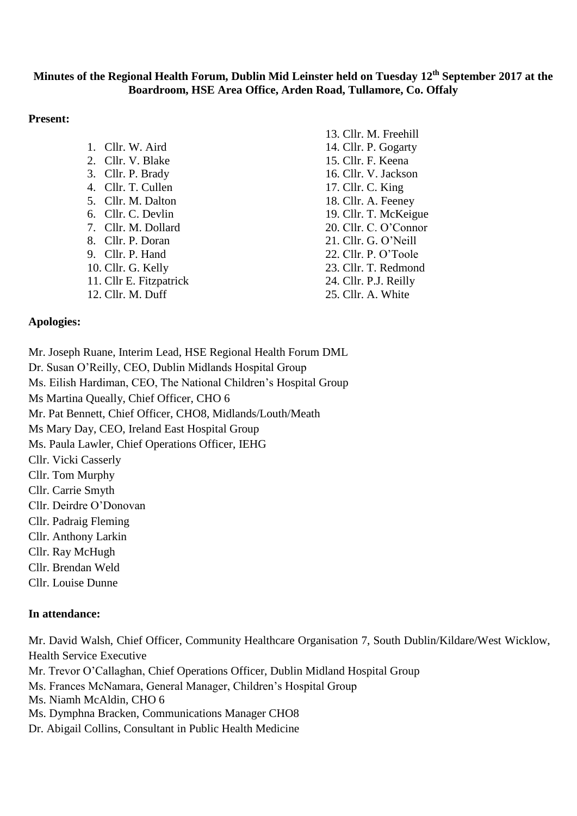# **Minutes of the Regional Health Forum, Dublin Mid Leinster held on Tuesday 12th September 2017 at the Boardroom, HSE Area Office, Arden Road, Tullamore, Co. Offaly**

### **Present:**

|                         | 13. Cllr. M. Freehill |
|-------------------------|-----------------------|
| 1. Cllr. W. Aird        | 14. Cllr. P. Gogarty  |
| 2. Cllr. V. Blake       | 15. Cllr. F. Keena    |
| 3. Cllr. P. Brady       | 16. Cllr. V. Jackson  |
| 4. Cllr. T. Cullen      | 17. Cllr. C. King     |
| 5. Cllr. M. Dalton      | 18. Cllr. A. Feeney   |
| 6. Cllr. C. Devlin      | 19. Cllr. T. McKeigue |
| 7. Cllr. M. Dollard     | 20. Cllr. C. O'Connor |
| 8. Cllr. P. Doran       | 21. Cllr. G. O'Neill  |
| 9. Cllr. P. Hand        | 22. Cllr. P. O'Toole  |
| 10. Cllr. G. Kelly      | 23. Cllr. T. Redmond  |
| 11. Cllr E. Fitzpatrick | 24. Cllr. P.J. Reilly |
| 12. Cllr. M. Duff       | 25. Cllr. A. White    |
|                         |                       |

#### **Apologies:**

Mr. Joseph Ruane, Interim Lead, HSE Regional Health Forum DML

Dr. Susan O'Reilly, CEO, Dublin Midlands Hospital Group

Ms. Eilish Hardiman, CEO, The National Children's Hospital Group

Ms Martina Queally, Chief Officer, CHO 6

Mr. Pat Bennett, Chief Officer, CHO8, Midlands/Louth/Meath

Ms Mary Day, CEO, Ireland East Hospital Group

Ms. Paula Lawler, Chief Operations Officer, IEHG

- Cllr. Vicki Casserly
- Cllr. Tom Murphy
- Cllr. Carrie Smyth
- Cllr. Deirdre O'Donovan
- Cllr. Padraig Fleming
- Cllr. Anthony Larkin
- Cllr. Ray McHugh
- Cllr. Brendan Weld
- Cllr. Louise Dunne

### **In attendance:**

Mr. David Walsh, Chief Officer, Community Healthcare Organisation 7, South Dublin/Kildare/West Wicklow, Health Service Executive Mr. Trevor O'Callaghan, Chief Operations Officer, Dublin Midland Hospital Group Ms. Frances McNamara, General Manager, Children's Hospital Group

Ms. Niamh McAldin, CHO 6

Ms. Dymphna Bracken, Communications Manager CHO8

Dr. Abigail Collins, Consultant in Public Health Medicine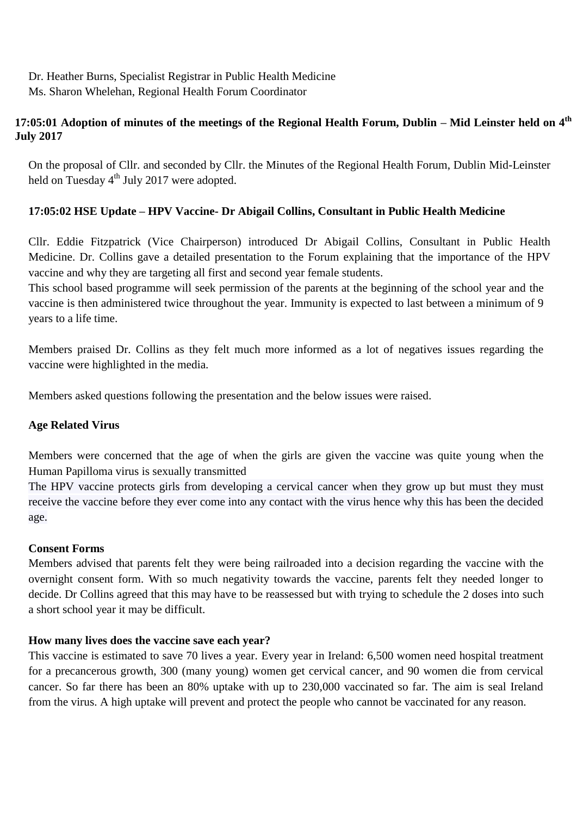Dr. Heather Burns, Specialist Registrar in Public Health Medicine Ms. Sharon Whelehan, Regional Health Forum Coordinator

# **17:05:01 Adoption of minutes of the meetings of the Regional Health Forum, Dublin – Mid Leinster held on 4 th July 2017**

On the proposal of Cllr. and seconded by Cllr. the Minutes of the Regional Health Forum, Dublin Mid-Leinster held on Tuesday 4<sup>th</sup> July 2017 were adopted.

## **17:05:02 HSE Update – HPV Vaccine- Dr Abigail Collins, Consultant in Public Health Medicine**

Cllr. Eddie Fitzpatrick (Vice Chairperson) introduced Dr Abigail Collins, Consultant in Public Health Medicine. Dr. Collins gave a detailed presentation to the Forum explaining that the importance of the HPV vaccine and why they are targeting all first and second year female students.

This school based programme will seek permission of the parents at the beginning of the school year and the vaccine is then administered twice throughout the year. Immunity is expected to last between a minimum of 9 years to a life time.

Members praised Dr. Collins as they felt much more informed as a lot of negatives issues regarding the vaccine were highlighted in the media.

Members asked questions following the presentation and the below issues were raised.

### **Age Related Virus**

Members were concerned that the age of when the girls are given the vaccine was quite young when the Human Papilloma virus is sexually transmitted

The HPV vaccine protects girls from developing a cervical cancer when they grow up but must they must receive the vaccine before they ever come into any contact with the virus hence why this has been the decided age.

### **Consent Forms**

Members advised that parents felt they were being railroaded into a decision regarding the vaccine with the overnight consent form. With so much negativity towards the vaccine, parents felt they needed longer to decide. Dr Collins agreed that this may have to be reassessed but with trying to schedule the 2 doses into such a short school year it may be difficult.

### **How many lives does the vaccine save each year?**

This vaccine is estimated to save 70 lives a year. [Every year in Ireland: 6,500 women need hospital treatment](http://www.hse.ie/eng/health/Immunisation/pubinfo/schoolprog/HPV/hpv-vaccine-facts/#collapse1)  [for a precancerous growth, 300 \(many young\) women get cervical cancer, and 90 women die from cervical](http://www.hse.ie/eng/health/Immunisation/pubinfo/schoolprog/HPV/hpv-vaccine-facts/#collapse1)  [cancer.](http://www.hse.ie/eng/health/Immunisation/pubinfo/schoolprog/HPV/hpv-vaccine-facts/#collapse1) So far there has been an 80% uptake with up to 230,000 vaccinated so far. The aim is seal Ireland from the virus. A high uptake will prevent and protect the people who cannot be vaccinated for any reason.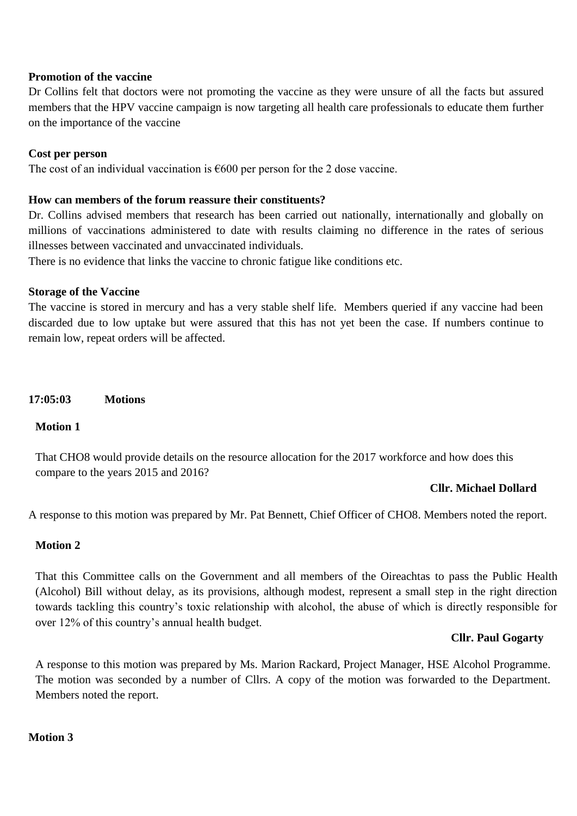### **Promotion of the vaccine**

Dr Collins felt that doctors were not promoting the vaccine as they were unsure of all the facts but assured members that the HPV vaccine campaign is now targeting all health care professionals to educate them further on the importance of the vaccine

### **Cost per person**

The cost of an individual vaccination is  $\epsilon$ 600 per person for the 2 dose vaccine.

### **How can members of the forum reassure their constituents?**

Dr. Collins advised members that research has been carried out nationally, internationally and globally on millions of vaccinations administered to date with results claiming no difference in the rates of serious illnesses between vaccinated and unvaccinated individuals.

There is no evidence that links the vaccine to chronic fatigue like conditions etc.

### **Storage of the Vaccine**

The vaccine is stored in mercury and has a very stable shelf life. Members queried if any vaccine had been discarded due to low uptake but were assured that this has not yet been the case. If numbers continue to remain low, repeat orders will be affected.

**17:05:03 Motions**

### **Motion 1**

That CHO8 would provide details on the resource allocation for the 2017 workforce and how does this compare to the years 2015 and 2016?

### **Cllr. Michael Dollard**

A response to this motion was prepared by Mr. Pat Bennett, Chief Officer of CHO8. Members noted the report.

### **Motion 2**

That this Committee calls on the Government and all members of the Oireachtas to pass the Public Health (Alcohol) Bill without delay, as its provisions, although modest, represent a small step in the right direction towards tackling this country's toxic relationship with alcohol, the abuse of which is directly responsible for over 12% of this country's annual health budget.

#### **Cllr. Paul Gogarty**

A response to this motion was prepared by Ms. Marion Rackard, Project Manager, HSE Alcohol Programme. The motion was seconded by a number of Cllrs. A copy of the motion was forwarded to the Department. Members noted the report.

#### **Motion 3**